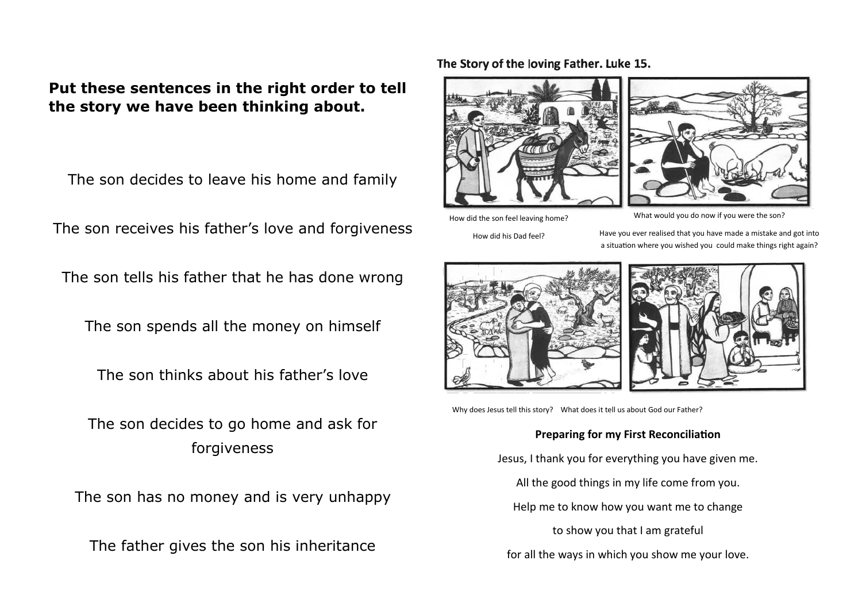## **Put these sentences in the right order to tell the story we have been thinking about.**

The son decides to leave his home and family

The son receives his father's love and forgiveness

The son tells his father that he has done wrong

The son spends all the money on himself

The son thinks about his father's love

The son decides to go home and ask for forgiveness

The son has no money and is very unhappy

The father gives the son his inheritance

#### The Story of the loving Father. Luke 15.





How did the son feel leaving home?

What would you do now if you were the son?

How did his Dad feel?

Have you ever realised that you have made a mistake and got into a situation where you wished you could make things right again?





Why does Jesus tell this story? What does it tell us about God our Father?

#### **Preparing for my First Reconciliation**

Jesus, I thank you for everything you have given me.

All the good things in my life come from you.

Help me to know how you want me to change

to show you that I am grateful

for all the ways in which you show me your love.